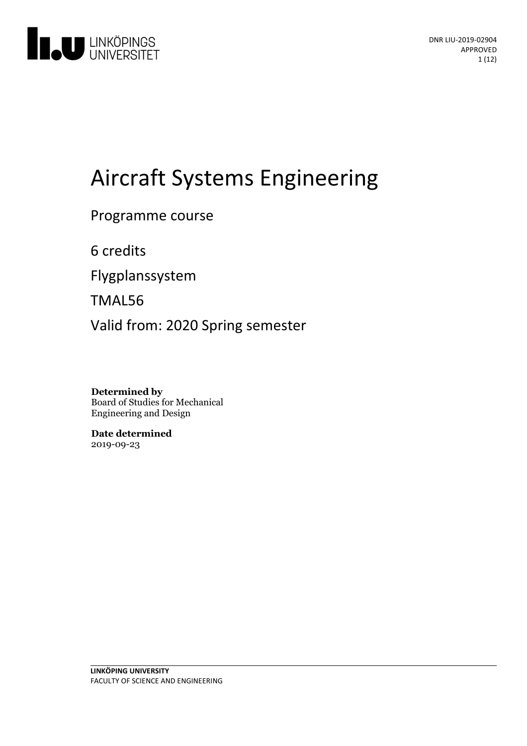

# Aircraft Systems Engineering

Programme course

6 credits

Flygplanssystem

TMAL56

Valid from: 2020 Spring semester

**Determined by** Board of Studies for Mechanical Engineering and Design

**Date determined** 2019-09-23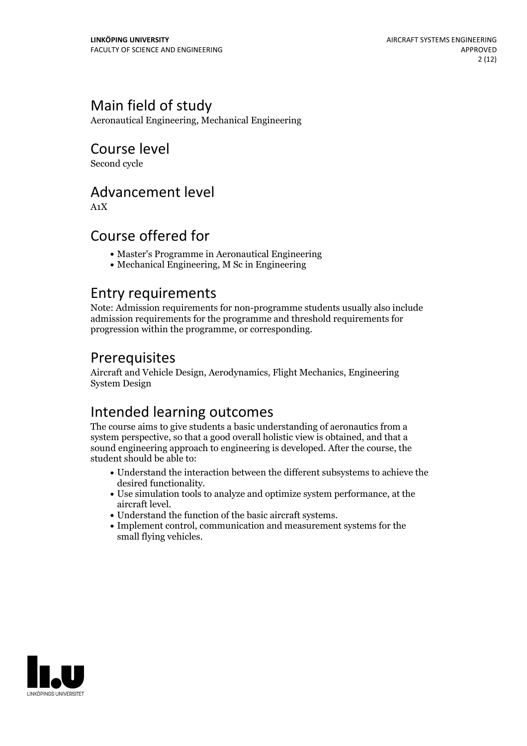## Main field of study

Aeronautical Engineering, Mechanical Engineering

Course level

Second cycle

## Advancement level

A1X

## Course offered for

- Master's Programme in Aeronautical Engineering
- Mechanical Engineering, M Sc in Engineering

## Entry requirements

Note: Admission requirements for non-programme students usually also include admission requirements for the programme and threshold requirements for progression within the programme, or corresponding.

## Prerequisites

Aircraft and Vehicle Design, Aerodynamics, Flight Mechanics, Engineering System Design

## Intended learning outcomes

The course aims to give students a basic understanding of aeronautics from a system perspective, so that a good overall holistic view is obtained, and that a sound engineering approach to engineering is developed. After the course, the student should be able to:

- Understand the interaction between the different subsystems to achieve the
- $\bullet$  Use simulation tools to analyze and optimize system performance, at the aircraft level.
- 
- Understand the function of the basic aircraft systems.<br>• Implement control, communication and measurement systems for the small flying vehicles.

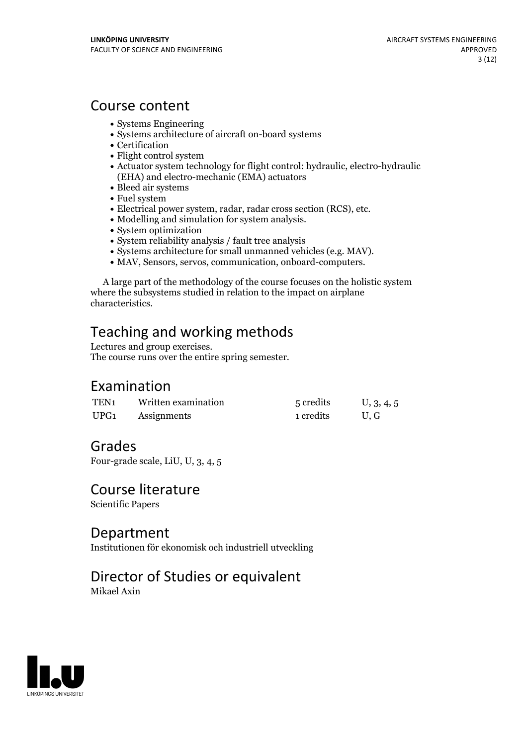## Course content

- Systems Engineering
- Systems architecture of aircraft on-board systems
- Certification
- Flight control system
- Actuator system technology for flight control: hydraulic, electro-hydraulic (EHA) and electro-mechanic (EMA) actuators
- Bleed air systems
- Fuel system
- Electrical power system, radar, radar cross section (RCS), etc.<br>• Modelling and simulation for system analysis.<br>• System optimization
- 
- 
- 
- System reliability analysis / fault tree analysis<br>• Systems architecture for small unmanned vehicles (e.g. MAV).
- MAV, Sensors, servos, communication, onboard-computers.

A large part of the methodology of the course focuses on the holistic system where the subsystems studied in relation to the impact on airplane characteristics.

# Teaching and working methods<br>Lectures and group exercises.

The course runs over the entire spring semester.

## Examination

| TEN <sub>1</sub> | Written examination | 5 credits | U, 3, 4, 5 |
|------------------|---------------------|-----------|------------|
| UPG1             | Assignments         | 1 credits | U.G        |

## Grades

Four-grade scale, LiU, U, 3, 4, 5

## Course literature

Scientific Papers

### Department

Institutionen för ekonomisk och industriell utveckling

## Director of Studies or equivalent

Mikael Axin

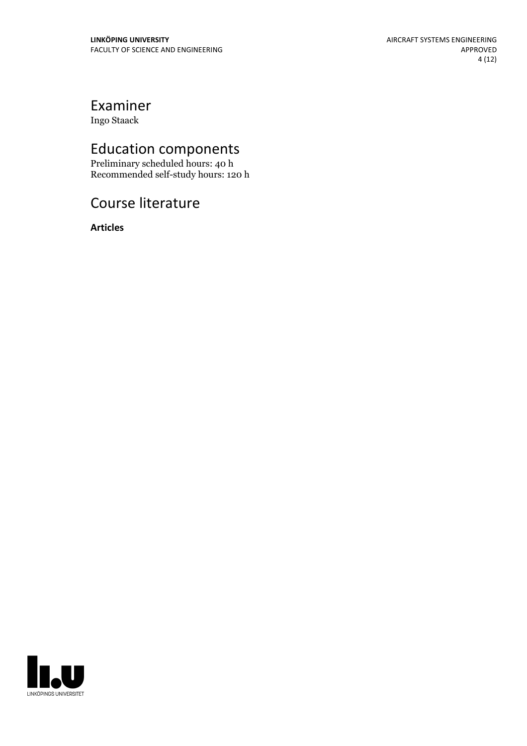## Examiner

Ingo Staack

## Education components

Preliminary scheduled hours: 40 h Recommended self-study hours: 120 h

## Course literature

**Articles**

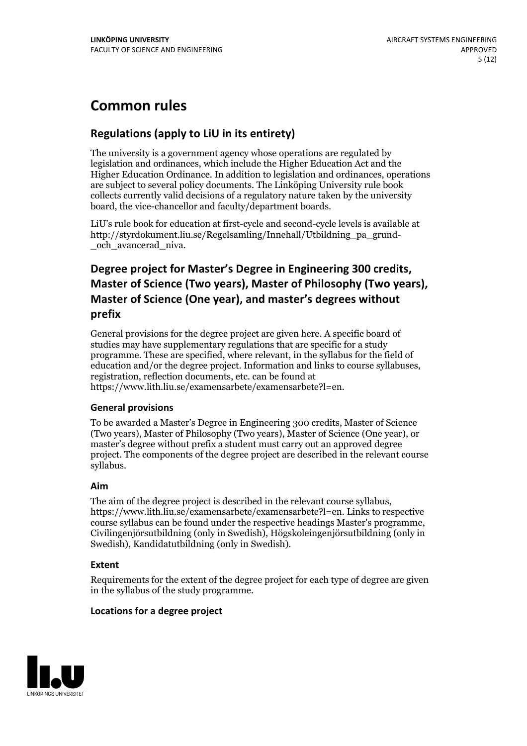## **Common rules**

### **Regulations (applyto LiU in its entirety)**

The university is a government agency whose operations are regulated by legislation and ordinances, which include the Higher Education Act and the Higher Education Ordinance. In addition to legislation and ordinances, operations are subject to several policy documents. The Linköping University rule book collects currently valid decisions of a regulatory nature taken by the university board, the vice-chancellor and faculty/department boards.

LiU's rule book for education at first-cycle and second-cycle levels is available at http://styrdokument.liu.se/Regelsamling/Innehall/Utbildning\_pa\_grund- \_och\_avancerad\_niva.

## **Degree project for Master's Degree in Engineering 300 credits, Master** of Science (Two years), Master of Philosophy (Two years), **Master** of Science (One year), and master's degrees without **prefix**

General provisions for the degree project are given here. A specific board of studies may have supplementary regulations that are specific for a study programme. These are specified, where relevant, in the syllabus for the field of education and/or the degree project. Information and links to course syllabuses, registration, reflection documents, etc. can be found at https://www.lith.liu.se/examensarbete/examensarbete?l=en.

#### **General provisions**

To be awarded a Master's Degree in Engineering 300 credits, Master of Science (Two years), Master of Philosophy (Two years), Master of Science (One year), or master's degree without prefix a student must carry out an approved degree project. The components of the degree project are described in the relevant course syllabus.

#### **Aim**

The aim of the degree project is described in the relevant course syllabus, https://www.lith.liu.se/examensarbete/examensarbete?l=en. Links to respective course syllabus can be found under the respective headings Master's programme, Civilingenjörsutbildning (only in Swedish), Högskoleingenjörsutbildning (only in Swedish), Kandidatutbildning (only in Swedish).

#### **Extent**

Requirements for the extent of the degree project for each type of degree are given in the syllabus of the study programme.

#### **Locations for a degree project**

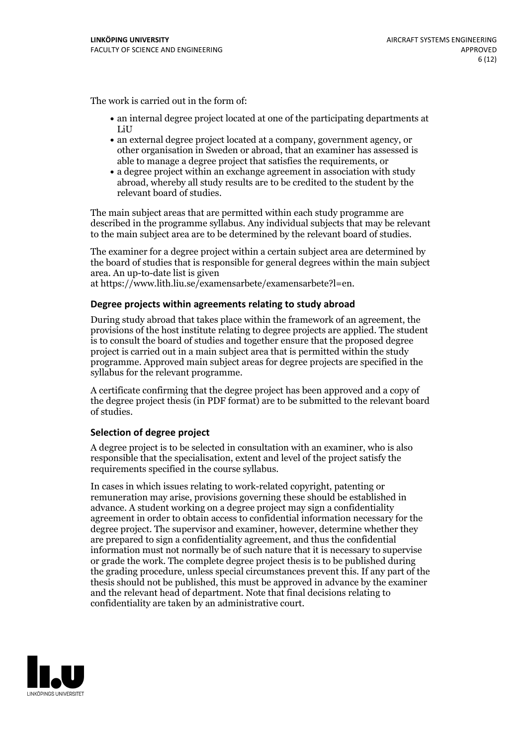The work is carried out in the form of:

- an internal degree project located at one of the participating departments at LiU
- an external degree project located at a company, government agency, or other organisation in Sweden or abroad, that an examiner has assessed is able to manage a degree project that satisfies the requirements, or
- a degree project within an exchange agreement in association with study abroad, whereby all study results are to be credited to the student by the relevant board of studies.

The main subject areas that are permitted within each study programme are described in the programme syllabus. Any individual subjects that may be relevant to the main subject area are to be determined by the relevant board of studies.

The examiner for a degree project within a certain subject area are determined by the board of studies that is responsible for general degrees within the main subject area. An up-to-date list is given

at https://www.lith.liu.se/examensarbete/examensarbete?l=en.

#### **Degree projects within agreements relatingto study abroad**

During study abroad that takes place within the framework of an agreement, the provisions of the host institute relating to degree projects are applied. The student is to consult the board of studies and together ensure that the proposed degree project is carried outin a main subject area that is permitted within the study programme. Approved main subject areas for degree projects are specified in the syllabus for the relevant programme.

A certificate confirming that the degree project has been approved and a copy of the degree project thesis (in PDF format) are to be submitted to the relevant board of studies.

#### **Selection of degree project**

A degree project is to be selected in consultation with an examiner, who is also responsible that the specialisation, extent and level of the project satisfy the requirements specified in the course syllabus.

In cases in which issues relating to work-related copyright, patenting or remuneration may arise, provisions governing these should be established in advance. A student working on a degree project may sign a confidentiality agreement in order to obtain access to confidential information necessary for the degree project. The supervisor and examiner, however, determine whether they are prepared to sign a confidentiality agreement, and thus the confidential information must not normally be of such nature that it is necessary to supervise or grade the work. The complete degree project thesis is to be published during the grading procedure, unless special circumstances prevent this. If any part of the thesis should not be published, this must be approved in advance by the examiner and the relevant head of department. Note that final decisions relating to confidentiality are taken by an administrative court.

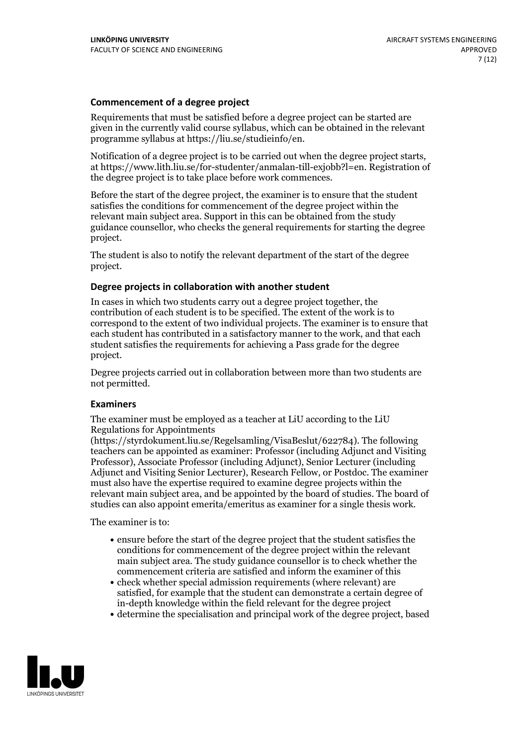#### **Commencement of a degree project**

Requirements that must be satisfied before a degree project can be started are given in the currently valid course syllabus, which can be obtained in the relevant programme syllabus at https://liu.se/studieinfo/en.

Notification of <sup>a</sup> degree project is to be carried outwhen the degree project starts, at https://www.lith.liu.se/for-studenter/anmalan-till-exjobb?l=en. Registration of the degree project is to take place before work commences.

Before the start of the degree project, the examiner is to ensure that the student satisfies the conditions for commencement of the degree project within the relevant main subject area. Support in this can be obtained from the study guidance counsellor, who checks the general requirements for starting the degree project.

The student is also to notify the relevant department of the start of the degree project.

#### **Degree projects in collaboration with another student**

In cases in which two students carry out a degree project together, the contribution of each student is to be specified. The extent of the work is to correspond to the extent of two individual projects. The examiner is to ensure that each student has contributed in a satisfactory manner to the work, and that each student satisfies the requirements for achieving a Pass grade for the degree project.

Degree projects carried out in collaboration between more than two students are not permitted.

#### **Examiners**

The examiner must be employed as a teacher at LiU according to the LiU Regulations for Appointments

(https://styrdokument.liu.se/Regelsamling/VisaBeslut/622784). The following teachers can be appointed as examiner: Professor (including Adjunct and Visiting Professor), Associate Professor (including Adjunct), Senior Lecturer (including Adjunct and Visiting Senior Lecturer), Research Fellow, or Postdoc. The examiner must also have the expertise required to examine degree projects within the relevant main subject area, and be appointed by the board of studies. The board of studies can also appoint emerita/emeritus as examiner for a single thesis work.

The examiner is to:

- ensure before the start of the degree project that the student satisfies the conditions for commencement of the degree project within the relevant main subject area. The study guidance counsellor is to check whether the commencement criteria are satisfied and inform the examiner of this
- check whether special admission requirements (where relevant) are satisfied, for example that the student can demonstrate a certain degree of in-depth knowledge within the field relevant for the degree project
- determine the specialisation and principal work of the degree project, based

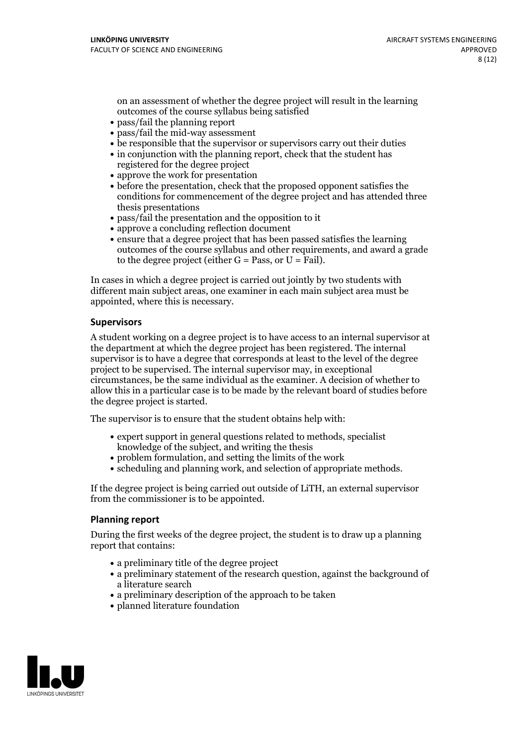on an assessment of whether the degree project will result in the learning outcomes of the course syllabus being satisfied

- pass/fail the planning report
- pass/fail the mid-way assessment
- be responsible that the supervisor or supervisors carry out their duties
- in conjunction with the planning report, check that the student has registered for the degree project
- approve the work for presentation
- before the presentation, check that the proposed opponent satisfies the conditions for commencement of the degree project and has attended three thesis presentations
- pass/fail the presentation and the opposition to it
- approve a concluding reflection document
- ensure that a degree project that has been passed satisfies the learning outcomes of the course syllabus and other requirements, and award a grade to the degree project (either  $G = Pass$ , or  $U = Fail$ ).

In cases in which a degree project is carried out jointly by two students with different main subject areas, one examiner in each main subject area must be appointed, where this is necessary.

#### **Supervisors**

A student working on a degree project is to have access to an internal supervisor at the department at which the degree project has been registered. The internal supervisor is to have a degree that corresponds at least to the level of the degree project to be supervised. The internal supervisor may, in exceptional circumstances, be the same individual as the examiner. A decision of whether to allow this in a particular case is to be made by the relevant board of studies before the degree project is started.

The supervisor is to ensure that the student obtains help with:

- expert support in general questions related to methods, specialist knowledge of the subject, and writing the thesis
- problem formulation, and setting the limits of the work
- scheduling and planning work, and selection of appropriate methods.

If the degree project is being carried out outside of LiTH, an external supervisor from the commissioner is to be appointed.

#### **Planning report**

During the first weeks of the degree project, the student is to draw up a planning report that contains:

- a preliminary title of the degree project
- a preliminary statement of the research question, against the background of a literature search
- a preliminary description of the approach to be taken
- planned literature foundation

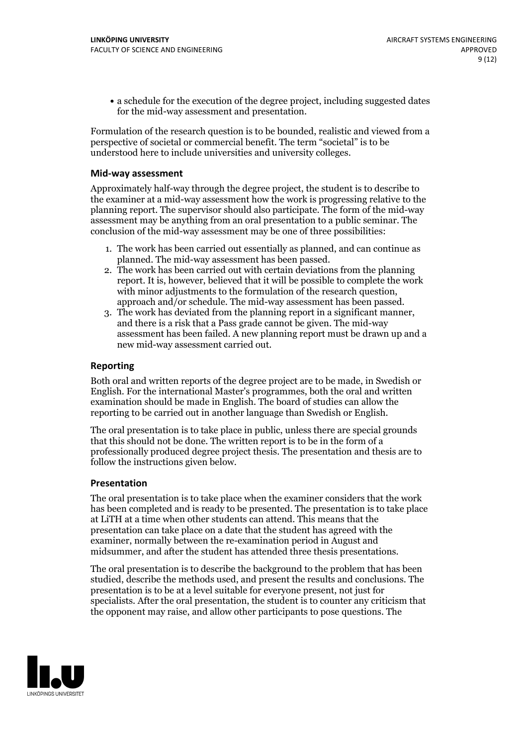a schedule for the execution of the degree project, including suggested dates for the mid-way assessment and presentation.

Formulation of the research question is to be bounded, realistic and viewed from a perspective of societal or commercial benefit. The term "societal" is to be understood here to include universities and university colleges.

#### **Mid-way assessment**

Approximately half-way through the degree project, the student is to describe to the examiner at a mid-way assessment how the work is progressing relative to the planning report. The supervisor should also participate. The form of the mid-way assessment may be anything from an oral presentation to a public seminar. The conclusion of the mid-way assessment may be one of three possibilities:

- 1. The work has been carried out essentially as planned, and can continue as planned. The mid-way assessment has been passed.
- 2. The work has been carried out with certain deviations from the planning report. It is, however, believed that it will be possible to complete the work with minor adjustments to the formulation of the research question,<br>approach and/or schedule. The mid-way assessment has been passed.<br>3. The work has deviated from the planning report in a significant manner,<br>and there is
- assessment has been failed. A new planning report must be drawn up and a new mid-way assessment carried out.

#### **Reporting**

Both oral and written reports of the degree project are to be made, in Swedish or English. For the international Master's programmes, both the oral and written examination should be made in English. The board of studies can allow the reporting to be carried out in another language than Swedish or English.

The oral presentation is to take place in public, unless there are special grounds that this should not be done. The written report is to be in the form of a professionally produced degree project thesis. The presentation and thesis are to follow the instructions given below.

#### **Presentation**

The oral presentation is to take place when the examiner considers that the work has been completed and is ready to be presented. The presentation is to take place at LiTH at a time when other students can attend. This means that the presentation can take place on a date that the student has agreed with the examiner, normally between the re-examination period in August and midsummer, and after the student has attended three thesis presentations.

The oral presentation is to describe the background to the problem that has been studied, describe the methods used, and present the results and conclusions. The presentation is to be at a level suitable for everyone present, not just for specialists. After the oral presentation, the student is to counter any criticism that the opponent may raise, and allow other participants to pose questions. The

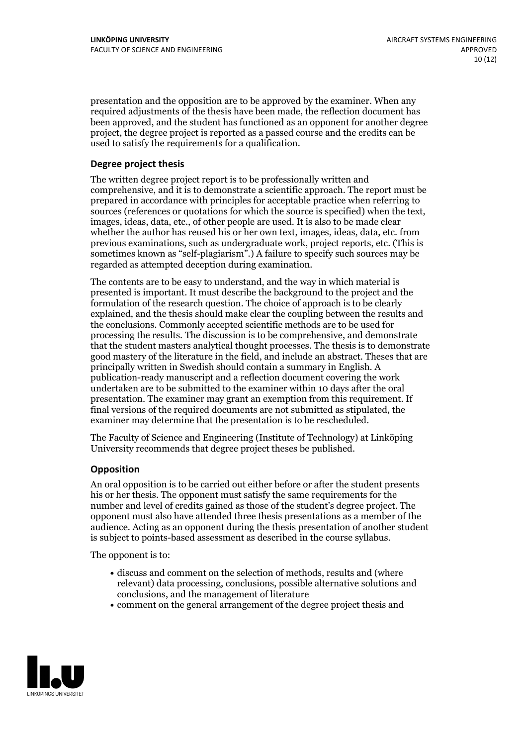presentation and the opposition are to be approved by the examiner. When any required adjustments of the thesis have been made, the reflection document has been approved, and the student has functioned as an opponent for another degree project, the degree project is reported as a passed course and the credits can be used to satisfy the requirements for a qualification.

#### **Degree project thesis**

The written degree project report is to be professionally written and comprehensive, and it is to demonstrate a scientific approach. The report must be prepared in accordance with principles for acceptable practice when referring to sources (references or quotations for which the source is specified) when the text, images, ideas, data, etc., of other people are used. It is also to be made clear whether the author has reused his or her own text, images, ideas, data, etc. from previous examinations, such asundergraduate work, project reports, etc. (This is sometimes known as"self-plagiarism".) A failure to specify such sources may be regarded as attempted deception during examination.

The contents are to be easy to understand, and the way in which material is presented is important. It must describe the background to the project and the formulation of the research question. The choice of approach is to be clearly explained, and the thesis should make clear the coupling between the results and the conclusions. Commonly accepted scientific methods are to be used for processing the results. The discussion is to be comprehensive, and demonstrate that the student masters analytical thought processes. The thesis is to demonstrate good mastery of the literature in the field, and include an abstract. Theses that are principally written in Swedish should contain a summary in English. A publication-ready manuscript and a reflection document covering the work undertaken are to be submitted to the examiner within 10 days after the oral presentation. The examiner may grant an exemption from this requirement. If final versions of the required documents are not submitted as stipulated, the examiner may determine that the presentation is to be rescheduled.

The Faculty of Science and Engineering (Institute of Technology) at Linköping University recommends that degree project theses be published.

#### **Opposition**

An oral opposition is to be carried out either before or after the student presents his or her thesis. The opponent must satisfy the same requirements for the number and level of credits gained as those of the student's degree project. The opponent must also have attended three thesis presentations as a member of the audience. Acting as an opponent during the thesis presentation of another student is subject to points-based assessment as described in the course syllabus.

The opponent is to:

- discuss and comment on the selection of methods, results and (where relevant) data processing, conclusions, possible alternative solutions and conclusions, and the management of literature
- comment on the general arrangement of the degree project thesis and

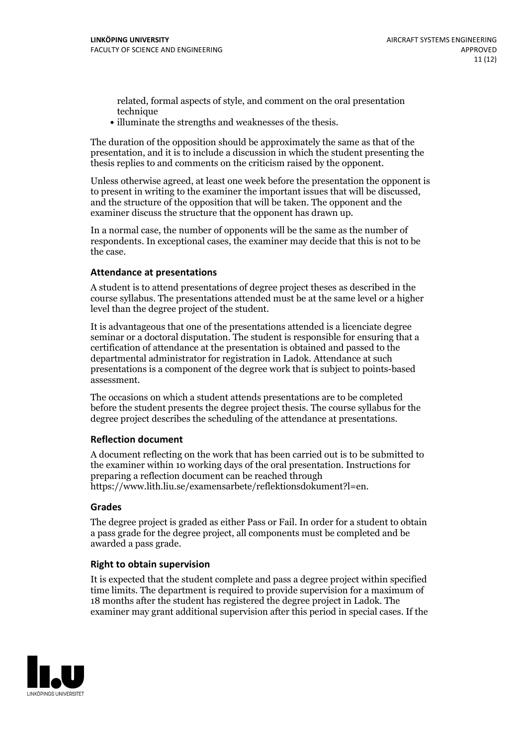related, formal aspects of style, and comment on the oral presentation technique

• illuminate the strengths and weaknesses of the thesis.

The duration of the opposition should be approximately the same as that of the presentation, and it is to include a discussion in which the student presenting the thesis replies to and comments on the criticism raised by the opponent.

Unless otherwise agreed, at least one week before the presentation the opponent is to present in writing to the examiner the important issues that will be discussed, and the structure ofthe opposition that will be taken. The opponent and the examiner discuss the structure that the opponent has drawn up.

In a normal case, the number of opponents will be the same as the number of respondents. In exceptional cases, the examiner may decide that this is not to be the case.

#### **Attendance at presentations**

A student is to attend presentations of degree project theses as described in the course syllabus. The presentations attended must be at the same level or a higher level than the degree project of the student.

It is advantageous that one of the presentations attended is a licenciate degree seminar or a doctoral disputation. The student is responsible for ensuring that a certification of attendance at the presentation is obtained and passed to the departmental administrator for registration in Ladok. Attendance at such presentations is a component of the degree work that is subject to points-based assessment.

The occasions on which a student attends presentations are to be completed before the student presents the degree project thesis. The course syllabus for the degree project describes the scheduling of the attendance at presentations.

#### **Reflection document**

A document reflecting on the work that has been carried outis to be submitted to the examiner within 10 working days of the oral presentation. Instructions for preparing a reflection document can be reached through https://www.lith.liu.se/examensarbete/reflektionsdokument?l=en.

#### **Grades**

The degree project is graded as either Pass or Fail. In order for a student to obtain a pass grade for the degree project, all components must be completed and be awarded a pass grade.

#### **Right to obtain supervision**

It is expected that the student complete and pass a degree project within specified time limits. The department is required to provide supervision for a maximum of 18 months after the student has registered the degree project in Ladok. The examiner may grant additional supervision after this period in special cases. If the